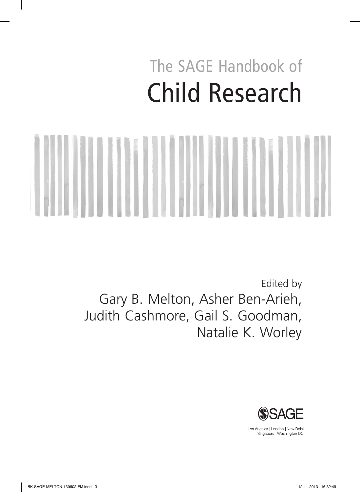## The SAGE Handbook of Child Research

Edited by Gary B. Melton, Asher Ben-Arieh, Judith Cashmore, Gail S. Goodman, Natalie K. Worley



Los Angeles | London | New Delhi<br>Singapore | Washington DC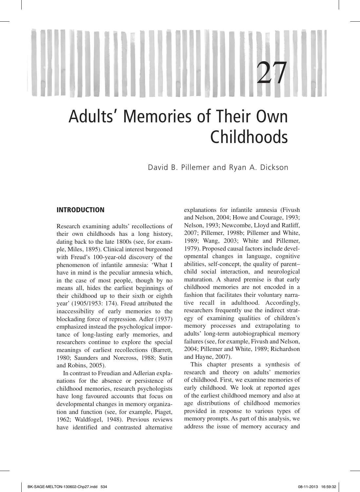# 1 27

## Adults' Memories of Their Own Childhoods

David B. Pillemer and Ryan A. Dickson

#### INTRODUCTION

Research examining adults' recollections of their own childhoods has a long history, dating back to the late 1800s (see, for example, Miles, 1895). Clinical interest burgeoned with Freud's 100-year-old discovery of the phenomenon of infantile amnesia: 'What I have in mind is the peculiar amnesia which, in the case of most people, though by no means all, hides the earliest beginnings of their childhood up to their sixth or eighth year' (1905/1953: 174). Freud attributed the inaccessibility of early memories to the blockading force of repression. Adler (1937) emphasized instead the psychological importance of long-lasting early memories, and researchers continue to explore the special meanings of earliest recollections (Barrett, 1980; Saunders and Norcross, 1988; Sutin and Robins, 2005).

In contrast to Freudian and Adlerian explanations for the absence or persistence of childhood memories, research psychologists have long favoured accounts that focus on developmental changes in memory organization and function (see, for example, Piaget, 1962; Waldfogel, 1948). Previous reviews have identified and contrasted alternative

explanations for infantile amnesia (Fivush and Nelson, 2004; Howe and Courage, 1993; Nelson, 1993; Newcombe, Lloyd and Ratliff, 2007; Pillemer, 1998b; Pillemer and White, 1989; Wang, 2003; White and Pillemer, 1979). Proposed causal factors include developmental changes in language, cognitive abilities, self-concept, the quality of parent– child social interaction, and neurological maturation. A shared premise is that early childhood memories are not encoded in a fashion that facilitates their voluntary narrative recall in adulthood. Accordingly, researchers frequently use the indirect strategy of examining qualities of children's memory processes and extrapolating to adults' long-term autobiographical memory failures (see, for example, Fivush and Nelson, 2004; Pillemer and White, 1989; Richardson and Hayne, 2007).

This chapter presents a synthesis of research and theory on adults' memories of childhood. First, we examine memories of early childhood. We look at reported ages of the earliest childhood memory and also at age distributions of childhood memories provided in response to various types of memory prompts. As part of this analysis, we address the issue of memory accuracy and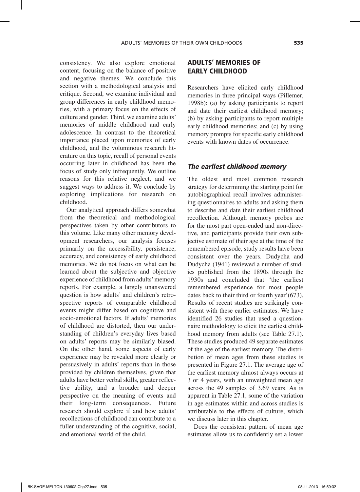consistency. We also explore emotional content, focusing on the balance of positive and negative themes. We conclude this section with a methodological analysis and critique. Second, we examine individual and group differences in early childhood memories, with a primary focus on the effects of culture and gender. Third, we examine adults' memories of middle childhood and early adolescence. In contrast to the theoretical importance placed upon memories of early childhood, and the voluminous research literature on this topic, recall of personal events occurring later in childhood has been the focus of study only infrequently. We outline reasons for this relative neglect, and we suggest ways to address it. We conclude by exploring implications for research on childhood.

Our analytical approach differs somewhat from the theoretical and methodological perspectives taken by other contributors to this volume. Like many other memory development researchers, our analysis focuses primarily on the accessibility, persistence, accuracy, and consistency of early childhood memories. We do not focus on what can be learned about the subjective and objective experience of childhood from adults' memory reports. For example, a largely unanswered question is how adults' and children's retrospective reports of comparable childhood events might differ based on cognitive and socio-emotional factors. If adults' memories of childhood are distorted, then our understanding of children's everyday lives based on adults' reports may be similarly biased. On the other hand, some aspects of early experience may be revealed more clearly or persuasively in adults' reports than in those provided by children themselves, given that adults have better verbal skills, greater reflective ability, and a broader and deeper perspective on the meaning of events and their long-term consequences. Future research should explore if and how adults' recollections of childhood can contribute to a fuller understanding of the cognitive, social, and emotional world of the child.

### ADULTS' MEMORIES OF EARLY CHILDHOOD

Researchers have elicited early childhood memories in three principal ways (Pillemer, 1998b): (a) by asking participants to report and date their earliest childhood memory; (b) by asking participants to report multiple early childhood memories; and (c) by using memory prompts for specific early childhood events with known dates of occurrence.

#### *The earliest childhood memory*

The oldest and most common research strategy for determining the starting point for autobiographical recall involves administering questionnaires to adults and asking them to describe and date their earliest childhood recollection. Although memory probes are for the most part open-ended and non-directive, and participants provide their own subjective estimate of their age at the time of the remembered episode, study results have been consistent over the years. Dudycha and Dudycha (1941) reviewed a number of studies published from the 1890s through the 1930s and concluded that 'the earliest remembered experience for most people dates back to their third or fourth year'(673). Results of recent studies are strikingly consistent with these earlier estimates. We have identified 26 studies that used a questionnaire methodology to elicit the earliest childhood memory from adults (see Table 27.1). These studies produced 49 separate estimates of the age of the earliest memory. The distribution of mean ages from these studies is presented in Figure 27.1. The average age of the earliest memory almost always occurs at 3 or 4 years, with an unweighted mean age across the 49 samples of 3.69 years. As is apparent in Table 27.1, some of the variation in age estimates within and across studies is attributable to the effects of culture, which we discuss later in this chapter.

Does the consistent pattern of mean age estimates allow us to confidently set a lower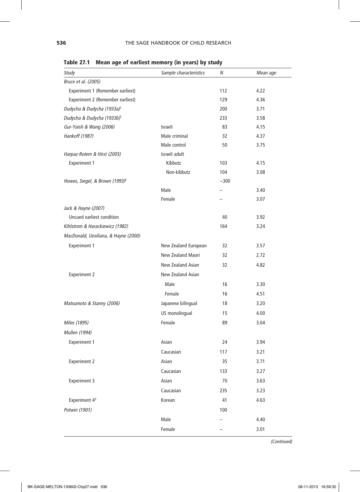| Study                                      | Sample characteristics | Ν                 | Mean age |
|--------------------------------------------|------------------------|-------------------|----------|
| Bruce et al. (2005)                        |                        |                   |          |
| Experiment 1 (Remember earliest)           |                        | 112               | 4.22     |
| Experiment 2 (Remember earliest)           |                        | 129               | 4.36     |
| Dudycha & Dudycha (1933a) <sup>1</sup>     |                        | 200               | 3.71     |
| Dudycha & Dudycha (1933b) <sup>1</sup>     |                        | 233               | 3.58     |
| Gur-Yaish & Wang (2006)                    | Israeli                | 83                | 4.15     |
| Hankoff (1987)                             | Male criminal          | 32                | 4.37     |
|                                            | Male control           | 50                | 3.75     |
| Harpaz-Rotem & Hirst (2005)                | Israeli adult          |                   |          |
| <b>Experiment 1</b>                        | Kibbutz                | 103               | 4.15     |
|                                            | Non-kibbutz            | 104               | 3.08     |
| Howes, Siegel, & Brown (1993) <sup>2</sup> |                        | ~100              |          |
|                                            | Male                   | $\qquad \qquad -$ | 3.40     |
|                                            | Female                 |                   | 3.07     |
| Jack & Hayne (2007)                        |                        |                   |          |
| Uncued earliest condition                  |                        | 40                | 3.92     |
| Kihlstrom & Harackiewicz (1982)            |                        | 164               | 3.24     |
| MacDonald, Uesiliana, & Hayne (2000)       |                        |                   |          |
| <b>Experiment 1</b>                        | New Zealand European   | 32                | 3.57     |
|                                            | New Zealand Maori      | 32                | 2.72     |
|                                            | New Zealand Asian      | 32                | 4.82     |
| <b>Experiment 2</b>                        | New Zealand Asian      |                   |          |
|                                            | Male                   | 16                | 3.30     |
|                                            | Female                 | 16                | 4.51     |
| Matsumoto & Stanny (2006)                  | Japanese bilingual     | 18                | 3.20     |
|                                            | US monolingual         | 15                | 4.00     |
| Miles (1895)                               | Female                 | 89                | 3.04     |
| Mullen (1994)                              |                        |                   |          |
| <b>Experiment 1</b>                        | Asian                  | 24                | 3.94     |
|                                            | Caucasian              | 117               | 3.21     |
| <b>Experiment 2</b>                        | Asian                  | 35                | 3.71     |
|                                            | Caucasian              | 133               | 3.27     |
|                                            | Asian                  | 70                | 3.63     |
| <b>Experiment 3</b>                        | Caucasian              |                   |          |
|                                            |                        | 235               | 3.23     |
| Experiment 4 <sup>3</sup>                  | Korean                 | 41                | 4.63     |
| Potwin (1901)                              |                        | 100               |          |
|                                            | Male                   |                   | 4.40     |
|                                            | Female                 |                   | 3.01     |

Table 27.1 Mean age of earliest memory (in years) by study

*(Continued)*

I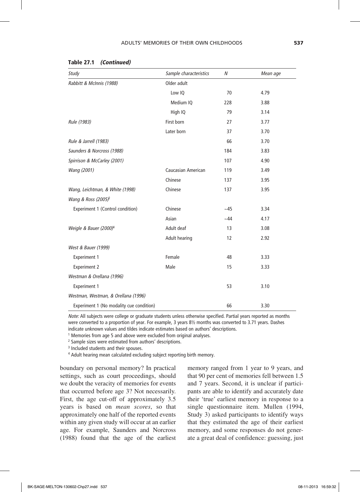| Study                                    | Sample characteristics | N    | Mean age |
|------------------------------------------|------------------------|------|----------|
| Rabbitt & McInnis (1988)                 | Older adult            |      |          |
|                                          | Low IQ                 | 70   | 4.79     |
|                                          | Medium IQ              | 228  | 3.88     |
|                                          | High IQ                | 79   | 3.14     |
| Rule (1983)                              | First born             | 27   | 3.77     |
|                                          | Later born             | 37   | 3.70     |
| Rule & Jarrell (1983)                    |                        | 66   | 3.70     |
| Saunders & Norcross (1988)               |                        | 184  | 3.83     |
| Spirrison & McCarley (2001)              |                        | 107  | 4.90     |
| Wang (2001)                              | Caucasian American     | 119  | 3.49     |
|                                          | Chinese                | 137  | 3.95     |
| Wang, Leichtman, & White (1998)          | Chinese                | 137  | 3.95     |
| Wang & Ross (2005) <sup>2</sup>          |                        |      |          |
| Experiment 1 (Control condition)         | Chinese                | ~145 | 3.34     |
|                                          | Asian                  | ~144 | 4.17     |
| Weigle & Bauer (2000) <sup>4</sup>       | Adult deaf             | 13   | 3.08     |
|                                          | Adult hearing          | 12   | 2.92     |
| West & Bauer (1999)                      |                        |      |          |
| <b>Experiment 1</b>                      | Female                 | 48   | 3.33     |
| <b>Experiment 2</b>                      | Male                   | 15   | 3.33     |
| Westman & Orellana (1996)                |                        |      |          |
| <b>Experiment 1</b>                      |                        | 53   | 3.10     |
| Westman, Westman, & Orellana (1996)      |                        |      |          |
| Experiment 1 (No modality cue condition) |                        | 66   | 3.30     |

#### Table 27.1 *(Continued)*

*Note:* All subjects were college or graduate students unless otherwise specified. Partial years reported as months were converted to a proportion of year. For example, 3 years 8½ months was converted to 3.71 years. Dashes indicate unknown values and tildes indicate estimates based on authors' descriptions.

<sup>1</sup> Memories from age 5 and above were excluded from original analyses.

2 Sample sizes were estimated from authors' descriptions.

<sup>3</sup> Included students and their spouses.

4 Adult hearing mean calculated excluding subject reporting birth memory.

boundary on personal memory? In practical settings, such as court proceedings, should we doubt the veracity of memories for events that occurred before age 3? Not necessarily. First, the age cut-off of approximately 3.5 years is based on *mean scores*, so that approximately one half of the reported events within any given study will occur at an earlier age. For example, Saunders and Norcross (1988) found that the age of the earliest memory ranged from 1 year to 9 years, and that 90 per cent of memories fell between 1.5 and 7 years. Second, it is unclear if participants are able to identify and accurately date their 'true' earliest memory in response to a single questionnaire item. Mullen (1994, Study 3) asked participants to identify ways that they estimated the age of their earliest memory, and some responses do not generate a great deal of confidence: guessing, just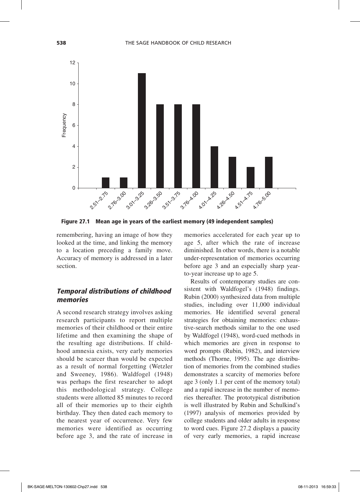

Figure 27.1 Mean age in years of the earliest memory (49 independent samples)

remembering, having an image of how they looked at the time, and linking the memory to a location preceding a family move. Accuracy of memory is addressed in a later section.

#### *Temporal distributions of childhood memories*

A second research strategy involves asking research participants to report multiple memories of their childhood or their entire lifetime and then examining the shape of the resulting age distributions. If childhood amnesia exists, very early memories should be scarcer than would be expected as a result of normal forgetting (Wetzler and Sweeney, 1986). Waldfogel (1948) was perhaps the first researcher to adopt this methodological strategy. College students were allotted 85 minutes to record all of their memories up to their eighth birthday. They then dated each memory to the nearest year of occurrence. Very few memories were identified as occurring before age 3, and the rate of increase in

memories accelerated for each year up to age 5, after which the rate of increase diminished. In other words, there is a notable under-representation of memories occurring before age 3 and an especially sharp yearto-year increase up to age 5.

Results of contemporary studies are consistent with Waldfogel's (1948) findings. Rubin (2000) synthesized data from multiple studies, including over 11,000 individual memories. He identified several general strategies for obtaining memories: exhaustive-search methods similar to the one used by Waldfogel (1948), word-cued methods in which memories are given in response to word prompts (Rubin, 1982), and interview methods (Thorne, 1995). The age distribution of memories from the combined studies demonstrates a scarcity of memories before age 3 (only 1.1 per cent of the memory total) and a rapid increase in the number of memories thereafter. The prototypical distribution is well illustrated by Rubin and Schulkind's (1997) analysis of memories provided by college students and older adults in response to word cues. Figure 27.2 displays a paucity of very early memories, a rapid increase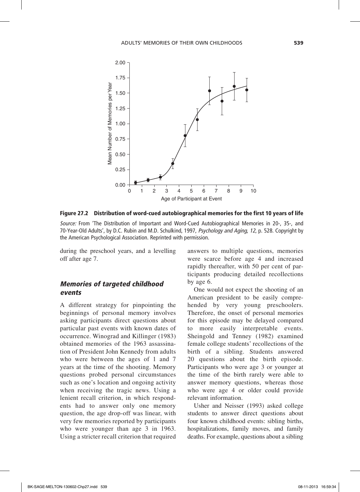

Figure 27.2 Distribution of word-cued autobiographical memories for the first 10 years of life

*Source:* From 'The Distribution of Important and Word-Cued Autobiographical Memories in 20-, 35-, and 70-Year-Old Adults', by D.C. Rubin and M.D. Schulkind, 1997, *Psychology and Aging*, *12*, p. 528. Copyright by the American Psychological Association. Reprinted with permission.

during the preschool years, and a levelling off after age 7.

#### *Memories of targeted childhood events*

A different strategy for pinpointing the beginnings of personal memory involves asking participants direct questions about particular past events with known dates of occurrence. Winograd and Killinger (1983) obtained memories of the 1963 assassination of President John Kennedy from adults who were between the ages of 1 and 7 years at the time of the shooting. Memory questions probed personal circumstances such as one's location and ongoing activity when receiving the tragic news. Using a lenient recall criterion, in which respondents had to answer only one memory question, the age drop-off was linear, with very few memories reported by participants who were younger than age 3 in 1963. Using a stricter recall criterion that required

answers to multiple questions, memories were scarce before age 4 and increased rapidly thereafter, with 50 per cent of participants producing detailed recollections by age 6.

One would not expect the shooting of an American president to be easily comprehended by very young preschoolers. Therefore, the onset of personal memories for this episode may be delayed compared to more easily interpretable events. Sheingold and Tenney (1982) examined female college students' recollections of the birth of a sibling. Students answered 20 questions about the birth episode. Participants who were age 3 or younger at the time of the birth rarely were able to answer memory questions, whereas those who were age 4 or older could provide relevant information.

Usher and Neisser (1993) asked college students to answer direct questions about four known childhood events: sibling births, hospitalizations, family moves, and family deaths. For example, questions about a sibling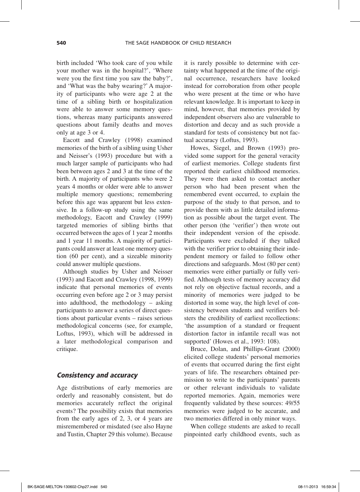birth included 'Who took care of you while your mother was in the hospital?', 'Where were you the first time you saw the baby?', and 'What was the baby wearing?' A majority of participants who were age 2 at the time of a sibling birth or hospitalization were able to answer some memory questions, whereas many participants answered questions about family deaths and moves only at age 3 or 4.

Eacott and Crawley (1998) examined memories of the birth of a sibling using Usher and Neisser's (1993) procedure but with a much larger sample of participants who had been between ages 2 and 3 at the time of the birth. A majority of participants who were 2 years 4 months or older were able to answer multiple memory questions; remembering before this age was apparent but less extensive. In a follow-up study using the same methodology, Eacott and Crawley (1999) targeted memories of sibling births that occurred between the ages of 1 year 2 months and 1 year 11 months. A majority of participants could answer at least one memory question (60 per cent), and a sizeable minority could answer multiple questions.

Although studies by Usher and Neisser (1993) and Eacott and Crawley (1998, 1999) indicate that personal memories of events occurring even before age 2 or 3 may persist into adulthood, the methodology – asking participants to answer a series of direct questions about particular events – raises serious methodological concerns (see, for example, Loftus, 1993), which will be addressed in a later methodological comparison and critique.

#### *Consistency and accuracy*

Age distributions of early memories are orderly and reasonably consistent, but do memories accurately reflect the original events? The possibility exists that memories from the early ages of 2, 3, or 4 years are misremembered or misdated (see also Hayne and Tustin, Chapter 29 this volume). Because

it is rarely possible to determine with certainty what happened at the time of the original occurrence, researchers have looked instead for corroboration from other people who were present at the time or who have relevant knowledge. It is important to keep in mind, however, that memories provided by independent observers also are vulnerable to distortion and decay and as such provide a standard for tests of consistency but not factual accuracy (Loftus, 1993).

Howes, Siegel, and Brown (1993) provided some support for the general veracity of earliest memories. College students first reported their earliest childhood memories. They were then asked to contact another person who had been present when the remembered event occurred, to explain the purpose of the study to that person, and to provide them with as little detailed information as possible about the target event. The other person (the 'verifier') then wrote out their independent version of the episode. Participants were excluded if they talked with the verifier prior to obtaining their independent memory or failed to follow other directions and safeguards. Most (80 per cent) memories were either partially or fully verified. Although tests of memory accuracy did not rely on objective factual records, and a minority of memories were judged to be distorted in some way, the high level of consistency between students and verifiers bolsters the credibility of earliest recollections: 'the assumption of a standard or frequent distortion factor in infantile recall was not supported' (Howes et al., 1993: 108).

Bruce, Dolan, and Phillips-Grant (2000) elicited college students' personal memories of events that occurred during the first eight years of life. The researchers obtained permission to write to the participants' parents or other relevant individuals to validate reported memories. Again, memories were frequently validated by these sources: 49/55 memories were judged to be accurate, and two memories differed in only minor ways.

When college students are asked to recall pinpointed early childhood events, such as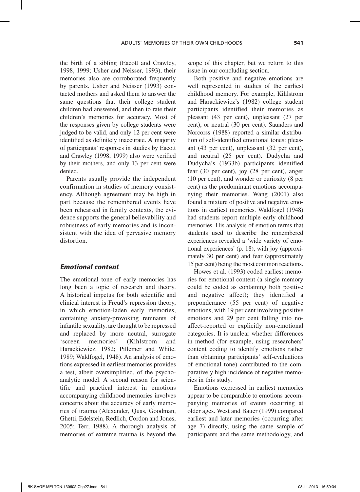the birth of a sibling (Eacott and Crawley, 1998, 1999; Usher and Neisser, 1993), their memories also are corroborated frequently by parents. Usher and Neisser (1993) contacted mothers and asked them to answer the same questions that their college student children had answered, and then to rate their children's memories for accuracy. Most of the responses given by college students were judged to be valid, and only 12 per cent were identified as definitely inaccurate. A majority of participants' responses in studies by Eacott and Crawley (1998, 1999) also were verified by their mothers, and only 13 per cent were denied.

Parents usually provide the independent confirmation in studies of memory consistency. Although agreement may be high in part because the remembered events have been rehearsed in family contexts, the evidence supports the general believability and robustness of early memories and is inconsistent with the idea of pervasive memory distortion.

#### *Emotional content*

The emotional tone of early memories has long been a topic of research and theory. A historical impetus for both scientific and clinical interest is Freud's repression theory, in which emotion-laden early memories, containing anxiety-provoking remnants of infantile sexuality, are thought to be repressed and replaced by more neutral, surrogate 'screen memories' (Kihlstrom and Harackiewicz, 1982; Pillemer and White, 1989; Waldfogel, 1948). An analysis of emotions expressed in earliest memories provides a test, albeit oversimplified, of the psychoanalytic model. A second reason for scientific and practical interest in emotions accompanying childhood memories involves concerns about the accuracy of early memories of trauma (Alexander, Quas, Goodman, Ghetti, Edelstein, Redlich, Cordon and Jones, 2005; Terr, 1988). A thorough analysis of memories of extreme trauma is beyond the scope of this chapter, but we return to this issue in our concluding section.

Both positive and negative emotions are well represented in studies of the earliest childhood memory. For example, Kihlstrom and Harackiewicz's (1982) college student participants identified their memories as pleasant (43 per cent), unpleasant (27 per cent), or neutral (30 per cent). Saunders and Norcorss (1988) reported a similar distribution of self-identified emotional tones: pleasant (43 per cent), unpleasant (32 per cent), and neutral (25 per cent). Dudycha and Dudycha's (1933b) participants identified fear (30 per cent), joy (28 per cent), anger (10 per cent), and wonder or curiosity (8 per cent) as the predominant emotions accompanying their memories. Wang (2001) also found a mixture of positive and negative emotions in earliest memories. Waldfogel (1948) had students report multiple early childhood memories. His analysis of emotion terms that students used to describe the remembered experiences revealed a 'wide variety of emotional experiences' (p. 18), with joy (approximately 30 per cent) and fear (approximately 15 per cent) being the most common reactions.

Howes et al. (1993) coded earliest memories for emotional content (a single memory could be coded as containing both positive and negative affect); they identified a preponderance (55 per cent) of negative emotions, with 19 per cent involving positive emotions and 29 per cent falling into noaffect-reported or explicitly non-emotional categories. It is unclear whether differences in method (for example, using researchers' content coding to identify emotions rather than obtaining participants' self-evaluations of emotional tone) contributed to the comparatively high incidence of negative memories in this study.

Emotions expressed in earliest memories appear to be comparable to emotions accompanying memories of events occurring at older ages. West and Bauer (1999) compared earliest and later memories (occurring after age 7) directly, using the same sample of participants and the same methodology, and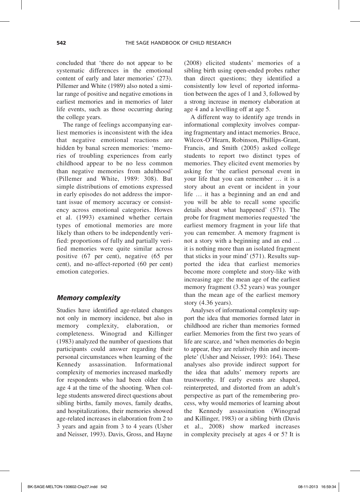concluded that 'there do not appear to be systematic differences in the emotional content of early and later memories' (273). Pillemer and White (1989) also noted a similar range of positive and negative emotions in earliest memories and in memories of later life events, such as those occurring during the college years.

The range of feelings accompanying earliest memories is inconsistent with the idea that negative emotional reactions are hidden by banal screen memories: 'memories of troubling experiences from early childhood appear to be no less common than negative memories from adulthood' (Pillemer and White, 1989: 308). But simple distributions of emotions expressed in early episodes do not address the important issue of memory accuracy or consistency across emotional categories. Howes et al. (1993) examined whether certain types of emotional memories are more likely than others to be independently verified: proportions of fully and partially verified memories were quite similar across positive (67 per cent), negative (65 per cent), and no-affect-reported (60 per cent) emotion categories.

#### *Memory complexity*

Studies have identified age-related changes not only in memory incidence, but also in memory complexity, elaboration, or completeness. Winograd and Killinger (1983) analyzed the number of questions that participants could answer regarding their personal circumstances when learning of the Kennedy assassination. Informational complexity of memories increased markedly for respondents who had been older than age 4 at the time of the shooting. When college students answered direct questions about sibling births, family moves, family deaths, and hospitalizations, their memories showed age-related increases in elaboration from 2 to 3 years and again from 3 to 4 years (Usher and Neisser, 1993). Davis, Gross, and Hayne

(2008) elicited students' memories of a sibling birth using open-ended probes rather than direct questions; they identified a consistently low level of reported information between the ages of 1 and 3, followed by a strong increase in memory elaboration at age 4 and a levelling off at age 5.

A different way to identify age trends in informational complexity involves comparing fragmentary and intact memories. Bruce, Wilcox-O'Hearn, Robinson, Phillips-Grant, Francis, and Smith (2005) asked college students to report two distinct types of memories. They elicited event memories by asking for 'the earliest personal event in your life that you can remember … it is a story about an event or incident in your life … it has a beginning and an end and you will be able to recall some specific details about what happened' (571). The probe for fragment memories requested 'the earliest memory fragment in your life that you can remember. A memory fragment is not a story with a beginning and an end … it is nothing more than an isolated fragment that sticks in your mind' (571). Results supported the idea that earliest memories become more complete and story-like with increasing age: the mean age of the earliest memory fragment (3.52 years) was younger than the mean age of the earliest memory story (4.36 years).

Analyses of informational complexity support the idea that memories formed later in childhood are richer than memories formed earlier. Memories from the first two years of life are scarce, and 'when memories do begin to appear, they are relatively thin and incomplete' (Usher and Neisser, 1993: 164). These analyses also provide indirect support for the idea that adults' memory reports are trustworthy. If early events are shaped, reinterpreted, and distorted from an adult's perspective as part of the remembering process, why would memories of learning about the Kennedy assassination (Winograd and Killinger, 1983) or a sibling birth (Davis et al., 2008) show marked increases in complexity precisely at ages 4 or 5? It is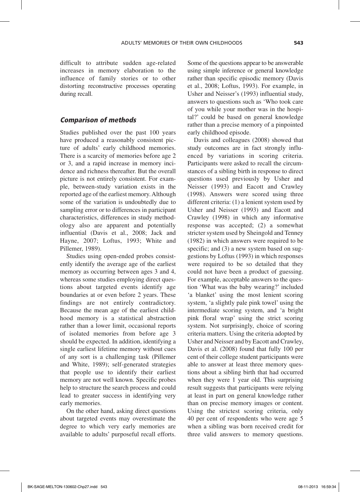difficult to attribute sudden age-related increases in memory elaboration to the influence of family stories or to other distorting reconstructive processes operating during recall.

#### *Comparison of methods*

Studies published over the past 100 years have produced a reasonably consistent picture of adults' early childhood memories. There is a scarcity of memories before age 2 or 3, and a rapid increase in memory incidence and richness thereafter. But the overall picture is not entirely consistent. For example, between-study variation exists in the reported age of the earliest memory. Although some of the variation is undoubtedly due to sampling error or to differences in participant characteristics, differences in study methodology also are apparent and potentially influential (Davis et al., 2008; Jack and Hayne, 2007; Loftus, 1993; White and Pillemer, 1989).

Studies using open-ended probes consistently identify the average age of the earliest memory as occurring between ages 3 and 4, whereas some studies employing direct questions about targeted events identify age boundaries at or even before 2 years. These findings are not entirely contradictory. Because the mean age of the earliest childhood memory is a statistical abstraction rather than a lower limit, occasional reports of isolated memories from before age 3 should be expected. In addition, identifying a single earliest lifetime memory without cues of any sort is a challenging task (Pillemer and White, 1989); self-generated strategies that people use to identify their earliest memory are not well known. Specific probes help to structure the search process and could lead to greater success in identifying very early memories.

On the other hand, asking direct questions about targeted events may overestimate the degree to which very early memories are available to adults' purposeful recall efforts. Some of the questions appear to be answerable using simple inference or general knowledge rather than specific episodic memory (Davis et al., 2008; Loftus, 1993). For example, in Usher and Neisser's (1993) influential study, answers to questions such as 'Who took care of you while your mother was in the hospital?' could be based on general knowledge rather than a precise memory of a pinpointed early childhood episode.

Davis and colleagues (2008) showed that study outcomes are in fact strongly influenced by variations in scoring criteria. Participants were asked to recall the circumstances of a sibling birth in response to direct questions used previously by Usher and Neisser (1993) and Eacott and Crawley (1998). Answers were scored using three different criteria: (1) a lenient system used by Usher and Neisser (1993) and Eacott and Crawley (1998) in which any informative response was accepted; (2) a somewhat stricter system used by Sheingold and Tenney (1982) in which answers were required to be specific; and (3) a new system based on suggestions by Loftus (1993) in which responses were required to be so detailed that they could not have been a product of guessing. For example, acceptable answers to the question 'What was the baby wearing?' included 'a blanket' using the most lenient scoring system, 'a slightly pale pink towel' using the intermediate scoring system, and 'a bright pink floral wrap' using the strict scoring system. Not surprisingly, choice of scoring criteria matters. Using the criteria adopted by Usher and Neisser and by Eacott and Crawley, Davis et al. (2008) found that fully 100 per cent of their college student participants were able to answer at least three memory questions about a sibling birth that had occurred when they were 1 year old. This surprising result suggests that participants were relying at least in part on general knowledge rather than on precise memory images or content. Using the strictest scoring criteria, only 40 per cent of respondents who were age 5 when a sibling was born received credit for three valid answers to memory questions.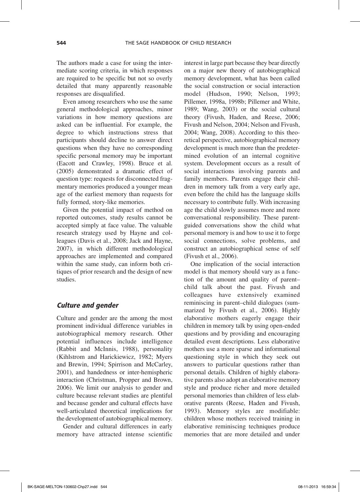The authors made a case for using the intermediate scoring criteria, in which responses are required to be specific but not so overly detailed that many apparently reasonable responses are disqualified.

Even among researchers who use the same general methodological approaches, minor variations in how memory questions are asked can be influential. For example, the degree to which instructions stress that participants should decline to answer direct questions when they have no corresponding specific personal memory may be important (Eacott and Crawley, 1998). Bruce et al. (2005) demonstrated a dramatic effect of question type: requests for disconnected fragmentary memories produced a younger mean age of the earliest memory than requests for fully formed, story-like memories.

Given the potential impact of method on reported outcomes, study results cannot be accepted simply at face value. The valuable research strategy used by Hayne and colleagues (Davis et al., 2008; Jack and Hayne, 2007), in which different methodological approaches are implemented and compared within the same study, can inform both critiques of prior research and the design of new studies.

#### *Culture and gender*

Culture and gender are the among the most prominent individual difference variables in autobiographical memory research. Other potential influences include intelligence (Rabbit and McInnis, 1988), personality (Kihlstrom and Harickiewicz, 1982; Myers and Brewin, 1994; Spirrison and McCarley, 2001), and handedness or inter-hemispheric interaction (Christman, Propper and Brown, 2006). We limit our analysis to gender and culture because relevant studies are plentiful and because gender and cultural effects have well-articulated theoretical implications for the development of autobiographical memory.

Gender and cultural differences in early memory have attracted intense scientific interest in large part because they bear directly on a major new theory of autobiographical memory development, what has been called the social construction or social interaction model (Hudson, 1990; Nelson, 1993; Pillemer, 1998a, 1998b; Pillemer and White, 1989; Wang, 2003) or the social cultural theory (Fivush, Haden, and Reese, 2006; Fivush and Nelson, 2004; Nelson and Fivush, 2004; Wang, 2008). According to this theoretical perspective, autobiographical memory development is much more than the predetermined evolution of an internal cognitive system. Development occurs as a result of social interactions involving parents and family members. Parents engage their children in memory talk from a very early age, even before the child has the language skills necessary to contribute fully. With increasing age the child slowly assumes more and more conversational responsibility. These parentguided conversations show the child what personal memory is and how to use it to forge social connections, solve problems, and construct an autobiographical sense of self (Fivush et al., 2006).

One implication of the social interaction model is that memory should vary as a function of the amount and quality of parent– child talk about the past. Fivush and colleagues have extensively examined reminiscing in parent–child dialogues (summarized by Fivush et al., 2006). Highly elaborative mothers eagerly engage their children in memory talk by using open-ended questions and by providing and encouraging detailed event descriptions. Less elaborative mothers use a more sparse and informational questioning style in which they seek out answers to particular questions rather than personal details. Children of highly elaborative parents also adopt an elaborative memory style and produce richer and more detailed personal memories than children of less elaborative parents (Reese, Haden and Fivush, 1993). Memory styles are modifiable: children whose mothers received training in elaborative reminiscing techniques produce memories that are more detailed and under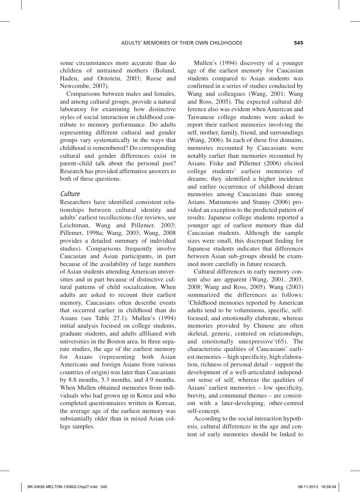some circumstances more accurate than do children of untrained mothers (Boland, Haden, and Ornstein, 2003; Reese and Newcombe, 2007).

Comparisons between males and females, and among cultural groups, provide a natural laboratory for examining how distinctive styles of social interaction in childhood contribute to memory performance. Do adults representing different cultural and gender groups vary systematically in the ways that childhood is remembered? Do corresponding cultural and gender differences exist in parent–child talk about the personal past? Research has provided affirmative answers to both of these questions.

#### *Culture*

Researchers have identified consistent relationships between cultural identity and adults' earliest recollections (for reviews, see Leichtman, Wang and Pillemer, 2003; Pillemer, 1998a; Wang, 2003; Wang, 2008 provides a detailed summary of individual studies). Comparisons frequently involve Caucasian and Asian participants, in part because of the availability of large numbers of Asian students attending American universities and in part because of distinctive cultural patterns of child socialization. When adults are asked to recount their earliest memory, Caucasians often describe events that occurred earlier in childhood than do Asians (see Table 27.1). Mullen's (1994) initial analysis focused on college students, graduate students, and adults affiliated with universities in the Boston area. In three separate studies, the age of the earliest memory for Asians (representing both Asian Americans and foreign Asians from various countries of origin) was later than Caucasians by 8.8 months, 5.3 months, and 4.9 months. When Mullen obtained memories from individuals who had grown up in Korea and who completed questionnaires written in Korean, the average age of the earliest memory was substantially older than in mixed Asian college samples.

Mullen's (1994) discovery of a younger age of the earliest memory for Caucasian students compared to Asian students was confirmed in a series of studies conducted by Wang and colleagues (Wang, 2001; Wang and Ross, 2005). The expected cultural difference also was evident when American and Taiwanese college students were asked to report their earliest memories involving the self, mother, family, friend, and surroundings (Wang, 2006). In each of these five domains, memories recounted by Caucasians were notably earlier than memories recounted by Asians. Fiske and Pillemer (2006) elicited college students' earliest memories of dreams; they identified a higher incidence and earlier occurrence of childhood dream memories among Caucasians than among Asians. Matsumoto and Stanny (2006) provided an exception to the predicted pattern of results: Japanese college students reported a younger age of earliest memory than did Caucasian students. Although the sample sizes were small, this discrepant finding for Japanese students indicates that differences between Asian sub-groups should be examined more carefully in future research.

Cultural differences in early memory content also are apparent (Wang, 2001, 2003, 2008; Wang and Ross, 2005). Wang (2003) summarized the differences as follows: 'Childhood memories reported by American adults tend to be voluminous, specific, selffocused, and emotionally elaborate, whereas memories provided by Chinese are often skeletal, generic, centered on relationships, and emotionally unexpressive'(65). The characteristic qualities of Caucasians' earliest memories – high specificity, high elaboration, richness of personal detail – support the development of a well-articulated independent sense of self, whereas the qualities of Asians' earliest memories – low specificity, brevity, and communal themes – are consistent with a later-developing, other-centred self-concept.

According to the social interaction hypothesis, cultural differences in the age and content of early memories should be linked to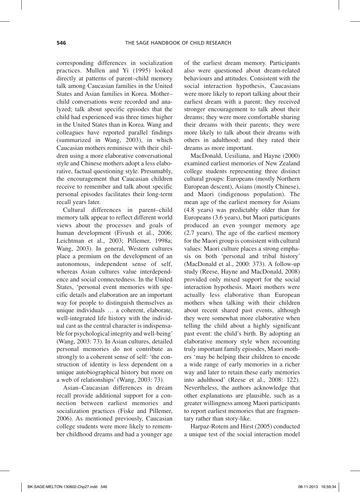corresponding differences in socialization practices. Mullen and Yi (1995) looked directly at patterns of parent–child memory talk among Caucasian families in the United States and Asian families in Korea. Mother– child conversations were recorded and analyzed; talk about specific episodes that the child had experienced was three times higher in the United States than in Korea. Wang and colleagues have reported parallel findings (summarized in Wang, 2003), in which Caucasian mothers reminisce with their children using a more elaborative conversational style and Chinese mothers adopt a less elaborative, factual questioning style. Presumably, the encouragement that Caucasian children receive to remember and talk about specific personal episodes facilitates their long-term recall years later.

Cultural differences in parent–child memory talk appear to reflect different world views about the processes and goals of human development (Fivush et al., 2006; Leichtman et al., 2003; Pillemer, 1998a; Wang, 2003). In general, Western cultures place a premium on the development of an autonomous, independent sense of self, whereas Asian cultures value interdependence and social connectedness. In the United States, 'personal event memories with specific details and elaboration are an important way for people to distinguish themselves as unique individuals … a coherent, elaborate, well-integrated life history with the individual cast as the central character is indispensable for psychological integrity and well-being' (Wang, 2003: 73). In Asian cultures, detailed personal memories do not contribute as strongly to a coherent sense of self: 'the construction of identity is less dependent on a unique autobiographical history but more on a web of relationships' (Wang, 2003: 73).

Asian–Caucasian differences in dream recall provide additional support for a connection between earliest memories and socialization practices (Fiske and Pillemer, 2006). As mentioned previously, Caucasian college students were more likely to remember childhood dreams and had a younger age

of the earliest dream memory. Participants also were questioned about dream-related behaviours and attitudes. Consistent with the social interaction hypothesis, Caucasians were more likely to report talking about their earliest dream with a parent; they received stronger encouragement to talk about their dreams; they were more comfortable sharing their dreams with their parents; they were more likely to talk about their dreams with others in adulthood; and they rated their dreams as more important.

MacDonald, Uesiliana, and Hayne (2000) examined earliest memories of New Zealand college students representing three distinct cultural groups: Europeans (mostly Northern European descent), Asians (mostly Chinese), and Maori (indigenous population). The mean age of the earliest memory for Asians (4.8 years) was predictably older than for Europeans (3.6 years), but Maori participants produced an even younger memory age (2.7 years). The age of the earliest memory for the Maori group is consistent with cultural values: Maori culture places a strong emphasis on both 'personal and tribal history' (MacDonald et al., 2000: 373). A follow-up study (Reese, Hayne and MacDonald, 2008) provided only mixed support for the social interaction hypothesis. Maori mothers were actually less elaborative than European mothers when talking with their children about recent shared past events, although they were somewhat more elaborative when telling the child about a highly significant past event: the child's birth. By adopting an elaborative memory style when recounting truly important family episodes, Maori mothers 'may be helping their children to encode a wide range of early memories in a richer way and later to retain these early memories into adulthood' (Reese et al., 2008: 122). Nevertheless, the authors acknowledge that other explanations are plausible, such as a greater willingness among Maori participants to report earliest memories that are fragmentary rather than story-like.

Harpaz-Rotem and Hirst (2005) conducted a unique test of the social interaction model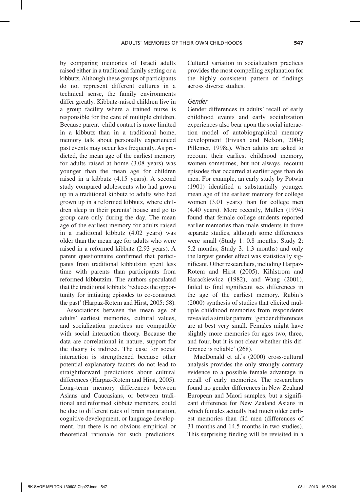by comparing memories of Israeli adults raised either in a traditional family setting or a kibbutz. Although these groups of participants do not represent different cultures in a technical sense, the family environments differ greatly. Kibbutz-raised children live in a group facility where a trained nurse is responsible for the care of multiple children. Because parent–child contact is more limited in a kibbutz than in a traditional home, memory talk about personally experienced past events may occur less frequently. As predicted, the mean age of the earliest memory for adults raised at home (3.08 years) was younger than the mean age for children raised in a kibbutz (4.15 years). A second study compared adolescents who had grown up in a traditional kibbutz to adults who had grown up in a reformed kibbutz, where children sleep in their parents' house and go to group care only during the day. The mean age of the earliest memory for adults raised in a traditional kibbutz (4.02 years) was older than the mean age for adults who were raised in a reformed kibbutz (2.93 years). A parent questionnaire confirmed that participants from traditional kibbutzim spent less time with parents than participants from reformed kibbutzim. The authors speculated that the traditional kibbutz 'reduces the opportunity for initiating episodes to co-construct the past' (Harpaz-Rotem and Hirst, 2005: 58).

Associations between the mean age of adults' earliest memories, cultural values, and socialization practices are compatible with social interaction theory. Because the data are correlational in nature, support for the theory is indirect. The case for social interaction is strengthened because other potential explanatory factors do not lead to straightforward predictions about cultural differences (Harpaz-Rotem and Hirst, 2005). Long-term memory differences between Asians and Caucasians, or between traditional and reformed kibbutz members, could be due to different rates of brain maturation, cognitive development, or language development, but there is no obvious empirical or theoretical rationale for such predictions. Cultural variation in socialization practices provides the most compelling explanation for the highly consistent pattern of findings across diverse studies.

#### *Gender*

Gender differences in adults' recall of early childhood events and early socialization experiences also bear upon the social interaction model of autobiographical memory development (Fivush and Nelson, 2004; Pillemer, 1998a)*.* When adults are asked to recount their earliest childhood memory, women sometimes, but not always, recount episodes that occurred at earlier ages than do men. For example, an early study by Potwin (1901) identified a substantially younger mean age of the earliest memory for college women (3.01 years) than for college men (4.40 years). More recently, Mullen (1994) found that female college students reported earlier memories than male students in three separate studies, although some differences were small (Study 1: 0.8 months; Study 2: 5.2 months; Study 3: 1.3 months) and only the largest gender effect was statistically significant. Other researchers, including Harpaz-Rotem and Hirst (2005), Kihlstrom and Harackiewicz (1982), and Wang (2001), failed to find significant sex differences in the age of the earliest memory. Rubin's (2000) synthesis of studies that elicited multiple childhood memories from respondents revealed a similar pattern: 'gender differences are at best very small. Females might have slightly more memories for ages two, three, and four, but it is not clear whether this difference is reliable' (268).

MacDonald et al.'s (2000) cross-cultural analysis provides the only strongly contrary evidence to a possible female advantage in recall of early memories. The researchers found no gender differences in New Zealand European and Maori samples, but a significant difference for New Zealand Asians in which females actually had much older earliest memories than did men (differences of 31 months and 14.5 months in two studies). This surprising finding will be revisited in a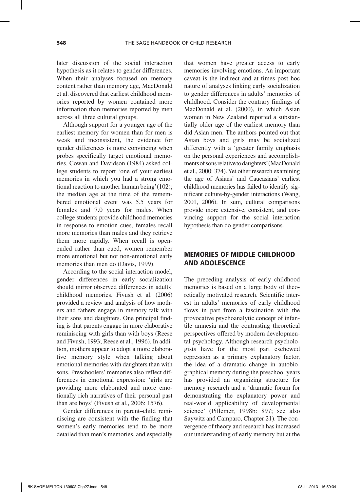later discussion of the social interaction hypothesis as it relates to gender differences. When their analyses focused on memory content rather than memory age, MacDonald et al. discovered that earliest childhood memories reported by women contained more information than memories reported by men across all three cultural groups.

Although support for a younger age of the earliest memory for women than for men is weak and inconsistent, the evidence for gender differences is more convincing when probes specifically target emotional memories. Cowan and Davidson (1984) asked college students to report 'one of your earliest memories in which you had a strong emotional reaction to another human being'(102); the median age at the time of the remembered emotional event was 5.5 years for females and 7.0 years for males. When college students provide childhood memories in response to emotion cues, females recall more memories than males and they retrieve them more rapidly. When recall is openended rather than cued, women remember more emotional but not non-emotional early memories than men do (Davis, 1999).

According to the social interaction model, gender differences in early socialization should mirror observed differences in adults' childhood memories. Fivush et al. (2006) provided a review and analysis of how mothers and fathers engage in memory talk with their sons and daughters. One principal finding is that parents engage in more elaborative reminiscing with girls than with boys (Reese and Fivush, 1993; Reese et al., 1996). In addition, mothers appear to adopt a more elaborative memory style when talking about emotional memories with daughters than with sons. Preschoolers' memories also reflect differences in emotional expression: 'girls are providing more elaborated and more emotionally rich narratives of their personal past than are boys' (Fivush et al., 2006: 1576).

Gender differences in parent–child reminiscing are consistent with the finding that women's early memories tend to be more detailed than men's memories, and especially

that women have greater access to early memories involving emotions. An important caveat is the indirect and at times post hoc nature of analyses linking early socialization to gender differences in adults' memories of childhood. Consider the contrary findings of MacDonald et al. (2000), in which Asian women in New Zealand reported a substantially older age of the earliest memory than did Asian men. The authors pointed out that Asian boys and girls may be socialized differently with a 'greater family emphasis on the personal experiences and accomplishments of sons relative to daughters' (MacDonald et al., 2000: 374). Yet other research examining the age of Asians' and Caucasians' earliest childhood memories has failed to identify significant culture-by-gender interactions (Wang, 2001, 2006). In sum, cultural comparisons provide more extensive, consistent, and convincing support for the social interaction hypothesis than do gender comparisons.

#### MEMORIES OF MIDDLE CHILDHOOD AND ADOLESCENCE

The preceding analysis of early childhood memories is based on a large body of theoretically motivated research. Scientific interest in adults' memories of early childhood flows in part from a fascination with the provocative psychoanalytic concept of infantile amnesia and the contrasting theoretical perspectives offered by modern developmental psychology. Although research psychologists have for the most part eschewed repression as a primary explanatory factor, the idea of a dramatic change in autobiographical memory during the preschool years has provided an organizing structure for memory research and a 'dramatic forum for demonstrating the explanatory power and real-world applicability of developmental science' (Pillemer, 1998b: 897; see also Saywitz and Camparo, Chapter 21). The convergence of theory and research has increased our understanding of early memory but at the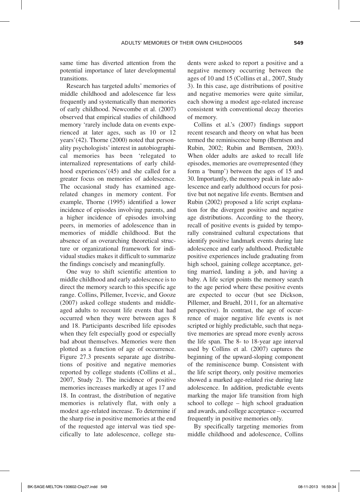same time has diverted attention from the potential importance of later developmental transitions.

Research has targeted adults' memories of middle childhood and adolescence far less frequently and systematically than memories of early childhood. Newcombe et al. (2007) observed that empirical studies of childhood memory 'rarely include data on events experienced at later ages, such as 10 or 12 years'(42). Thorne (2000) noted that personality psychologists' interest in autobiographical memories has been 'relegated to internalized representations of early childhood experiences'(45) and she called for a greater focus on memories of adolescence. The occasional study has examined agerelated changes in memory content. For example, Thorne (1995) identified a lower incidence of episodes involving parents, and a higher incidence of episodes involving peers, in memories of adolescence than in memories of middle childhood. But the absence of an overarching theoretical structure or organizational framework for individual studies makes it difficult to summarize the findings concisely and meaningfully.

One way to shift scientific attention to middle childhood and early adolescence is to direct the memory search to this specific age range. Collins, Pillemer, Ivcevic, and Gooze (2007) asked college students and middleaged adults to recount life events that had occurred when they were between ages 8 and 18. Participants described life episodes when they felt especially good or especially bad about themselves. Memories were then plotted as a function of age of occurrence. Figure 27.3 presents separate age distributions of positive and negative memories reported by college students (Collins et al., 2007, Study 2). The incidence of positive memories increases markedly at ages 17 and 18. In contrast, the distribution of negative memories is relatively flat, with only a modest age-related increase. To determine if the sharp rise in positive memories at the end of the requested age interval was tied specifically to late adolescence, college students were asked to report a positive and a negative memory occurring between the ages of 10 and 15 (Collins et al., 2007, Study 3). In this case, age distributions of positive and negative memories were quite similar, each showing a modest age-related increase consistent with conventional decay theories of memory.

Collins et al.'s (2007) findings support recent research and theory on what has been termed the reminiscence bump (Berntsen and Rubin, 2002; Rubin and Berntsen, 2003). When older adults are asked to recall life episodes, memories are overrepresented (they form a 'bump') between the ages of 15 and 30. Importantly, the memory peak in late adolescence and early adulthood occurs for positive but not negative life events. Berntsen and Rubin (2002) proposed a life script explanation for the divergent positive and negative age distributions. According to the theory, recall of positive events is guided by temporally constrained cultural expectations that identify positive landmark events during late adolescence and early adulthood. Predictable positive experiences include graduating from high school, gaining college acceptance, getting married, landing a job, and having a baby. A life script points the memory search to the age period where these positive events are expected to occur (but see Dickson, Pillemer, and Bruehl, 2011, for an alternative perspective). In contrast, the age of occurrence of major negative life events is not scripted or highly predictable, such that negative memories are spread more evenly across the life span. The 8- to 18-year age interval used by Collins et al. (2007) captures the beginning of the upward-sloping component of the reminiscence bump. Consistent with the life script theory, only positive memories showed a marked age-related rise during late adolescence. In addition, predictable events marking the major life transition from high school to college – high school graduation and awards, and college acceptance – occurred frequently in positive memories only.

By specifically targeting memories from middle childhood and adolescence, Collins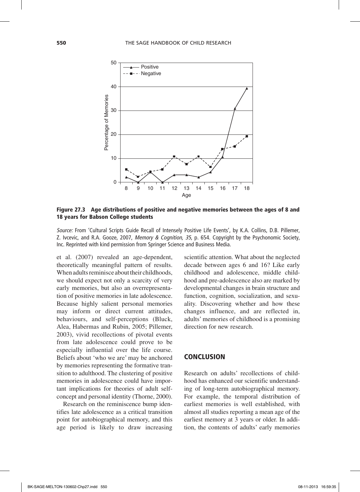

Figure 27.3 Age distributions of positive and negative memories between the ages of 8 and 18 years for Babson College students

*Source:* From 'Cultural Scripts Guide Recall of Intensely Positive Life Events', by K.A. Collins, D.B. Pillemer, Z. Ivcevic, and R.A. Gooze, 2007, *Memory & Cognition, 35*, p. 654. Copyright by the Psychonomic Society, Inc. Reprinted with kind permission from Springer Science and Business Media.

et al. (2007) revealed an age-dependent, theoretically meaningful pattern of results. When adults reminisce about their childhoods, we should expect not only a scarcity of very early memories, but also an overrepresentation of positive memories in late adolescence. Because highly salient personal memories may inform or direct current attitudes, behaviours, and self-perceptions (Bluck, Alea, Habermas and Rubin, 2005; Pillemer, 2003), vivid recollections of pivotal events from late adolescence could prove to be especially influential over the life course. Beliefs about 'who we are' may be anchored by memories representing the formative transition to adulthood. The clustering of positive memories in adolescence could have important implications for theories of adult selfconcept and personal identity (Thorne, 2000).

Research on the reminiscence bump identifies late adolescence as a critical transition point for autobiographical memory, and this age period is likely to draw increasing

scientific attention. What about the neglected decade between ages 6 and 16? Like early childhood and adolescence, middle childhood and pre-adolescence also are marked by developmental changes in brain structure and function, cognition, socialization, and sexuality. Discovering whether and how these changes influence, and are reflected in, adults' memories of childhood is a promising direction for new research.

#### **CONCLUSION**

Research on adults' recollections of childhood has enhanced our scientific understanding of long-term autobiographical memory. For example, the temporal distribution of earliest memories is well established, with almost all studies reporting a mean age of the earliest memory at 3 years or older. In addition, the contents of adults' early memories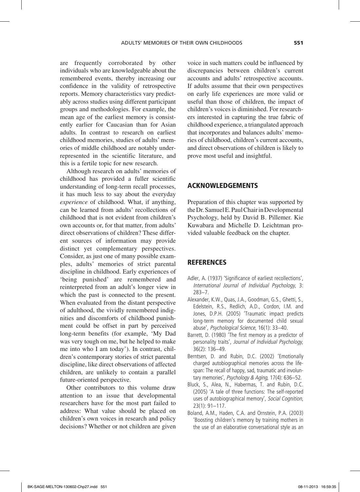are frequently corroborated by other individuals who are knowledgeable about the remembered events, thereby increasing our confidence in the validity of retrospective reports. Memory characteristics vary predictably across studies using different participant groups and methodologies. For example, the mean age of the earliest memory is consistently earlier for Caucasian than for Asian adults. In contrast to research on earliest childhood memories, studies of adults' memories of middle childhood are notably underrepresented in the scientific literature, and this is a fertile topic for new research.

Although research on adults' memories of childhood has provided a fuller scientific understanding of long-term recall processes, it has much less to say about the everyday *experience* of childhood. What, if anything, can be learned from adults' recollections of childhood that is not evident from children's own accounts or, for that matter, from adults' direct observations of children? These different sources of information may provide distinct yet complementary perspectives. Consider, as just one of many possible examples, adults' memories of strict parental discipline in childhood. Early experiences of 'being punished' are remembered and reinterpreted from an adult's longer view in which the past is connected to the present. When evaluated from the distant perspective of adulthood, the vividly remembered indignities and discomforts of childhood punishment could be offset in part by perceived long-term benefits (for example, 'My Dad was very tough on me, but he helped to make me into who I am today'). In contrast, children's contemporary stories of strict parental discipline, like direct observations of affected children, are unlikely to contain a parallel future-oriented perspective.

Other contributors to this volume draw attention to an issue that developmental researchers have for the most part failed to address: What value should be placed on children's own voices in research and policy decisions? Whether or not children are given voice in such matters could be influenced by discrepancies between children's current accounts and adults' retrospective accounts. If adults assume that their own perspectives on early life experiences are more valid or useful than those of children, the impact of children's voices is diminished. For researchers interested in capturing the true fabric of childhood experience, a triangulated approach that incorporates and balances adults' memories of childhood, children's current accounts, and direct observations of children is likely to prove most useful and insightful.

#### ACKNOWLEDGEMENTS

Preparation of this chapter was supported by the Dr. Samuel E. Paul Chair in Developmental Psychology, held by David B. Pillemer. Kie Kuwabara and Michelle D. Leichtman provided valuable feedback on the chapter.

#### **REFERENCES**

- Adler, A. (1937) 'Significance of earliest recollections', *International Journal of Individual Psychology*, 3: 283-7.
- Alexander, K.W., Quas, J.A., Goodman, G.S., Ghetti, S., Edelstein, R.S., Redlich, A.D., Cordon, I.M. and Jones, D.P.H. (2005) 'Traumatic impact predicts long-term memory for documented child sexual abuse', *Psychological Science*, 16(1): 33-40.
- Barrett, D. (1980) 'The first memory as a predictor of personality traits', *Journal of Individual Psychology*, 36(2): 136-49.
- Berntsen, D. and Rubin, D.C. (2002) 'Emotionally charged autobiographical memories across the lifespan: The recall of happy, sad, traumatic and involuntary memories', *Psychology & Aging*, 17(4): 636-52.
- Bluck, S., Alea, N., Habermas, T. and Rubin, D.C. (2005) 'A tale of three functions: The self-reported uses of autobiographical memory', *Social Cognition*, 23(1): 91-117.
- Boland, A.M., Haden, C.A. and Ornstein, P.A. (2003) 'Boosting children's memory by training mothers in the use of an elaborative conversational style as an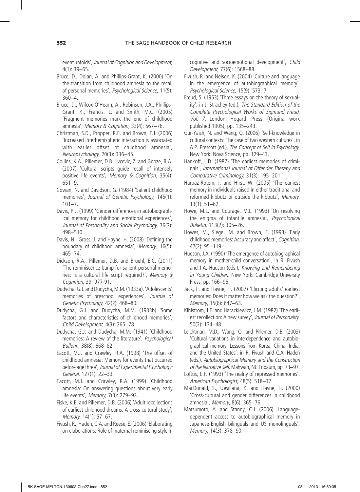event unfolds', *Journal of Cognition and Development*, 4(1): 39-65.

- Bruce, D., Dolan, A. and Phillips-Grant, K. (2000) 'On the transition from childhood amnesia to the recall of personal memories', *Psychological Science*, 11(5): 360-4.
- Bruce, D., Wilcox-O'Hearn, A., Robinson, J.A., Phillips-Grant, K., Francis, L. and Smith, M.C. (2005) 'Fragment memories mark the end of childhood amnesia', *Memory & Cognition*, 33(4): 567-76.
- Christman, S.D., Propper, R.E. and Brown, T.J. (2006) 'Increased interhemispheric interaction is associated with earlier offset of childhood amnesia', *Neuropsychology*, 20(3): 336-45.
- Collins, K.A., Pillemer, D.B., Ivcevic, Z. and Gooze, R.A. (2007) 'Cultural scripts guide recall of intensely positive life events', *Memory & Cognition*, 35(4): 651-9.
- Cowan, N. and Davidson, G. (1984) 'Salient childhood memories', *Journal of Genetic Psychology*, 145(1):  $101 - 7$ .
- Davis, P.J. (1999) 'Gender differences in autobiographical memory for childhood emotional experiences', *Journal of Personality and Social Psychology*, 76(3): 498-510.
- Davis, N., Gross, J. and Hayne, H. (2008) 'Defining the boundary of childhood amnesia', *Memory*, 16(5): 465-74.
- Dickson, R.A., Pillemer, D.B. and Bruehl, E.C. (2011) 'The reminiscence bump for salient personal memories: Is a cultural life script required?', *Memory & Cognition*, 39: 977-91.
- Dudycha, G.J. and Dudycha, M.M. (1933a). 'Adolescents' memories of preschool experiences', *Journal of Genetic Psychology*, 42(2): 468-80.
- Dudycha, G.J. and Dudycha, M.M. (1933b) 'Some factors and characteristics of childhood memories', *Child Development,* 4(3): 265-78.
- Dudycha, G.J. and Dudycha, M.M. (1941) 'Childhood memories: A review of the literature', *Psychological Bulletin*, 38(8): 668–82.
- Eacott, M.J. and Crawley, R.A. (1998) 'The offset of childhood amnesia: Memory for events that occurred before age three', *Journal of Experimental Psychology: General*, 127(1): 22-33.
- Eacott, M.J. and Crawley, R.A. (1999) 'Childhood amnesia: On answering questions about very early life events', *Memory*, 7(3): 279-92.
- Fiske, K.E. and Pillemer, D.B. (2006) 'Adult recollections of earliest childhood dreams: A cross-cultural study', *Memory*, 14(1): 57-67.
- Fivush, R., Haden, C.A. and Reese, E. (2006) 'Elaborating on elaborations: Role of maternal reminiscing style in

cognitive and socioemotional development', *Child Development*, 77(6): 1568-88.

- Fivush, R. and Nelson, K. (2004) 'Culture and language in the emergence of autobiographical memory', *Psychological Science*, 15(9): 573-7.
- Freud, S. (1953) 'Three essays on the theory of sexuality', in J. Strachey (ed.), *The Standard Edition of the Complete Psychological Works of Sigmund Freud*, *Vol. 7*. London: Hogarth Press. (Original work published 1905), pp. 135-243.
- Gur-Yaish, N. and Wang, Q. (2006) 'Self-knowledge in cultural contexts: The case of two western cultures', in A.P. Prescott (ed.), *The Concept of Self in Psychology*. New York: Nova Science, pp. 129-43.
- Hankoff, L.D. (1987) 'The earliest memories of criminals', *International Journal of Offender Therapy and Comparative Criminology*, 31(3): 195-201.
- Harpaz-Rotem, I. and Hirst, W. (2005) 'The earliest memory in individuals raised in either traditional and reformed kibbutz or outside the kibbutz', *Memory*, 13(1): 51-62.
- Howe, M.L. and Courage, M.L. (1993) 'On resolving the enigma of infantile amnesia', *Psychological Bulletin*, 113(2): 305-26.
- Howes, M., Siegel, M. and Brown, F. (1993) 'Early childhood memories: Accuracy and affect', *Cognition*, 47(2): 95-119.
- Hudson, J.A. (1990) 'The emergence of autobiographical memory in mother-child conversation', in R. Fivush and J.A. Hudson (eds.), *Knowing and Remembering in Young Children*. New York: Cambridge University Press, pp. 166-96.
- Jack, F. and Hayne, H. (2007) 'Eliciting adults' earliest memories: Does it matter how we ask the question?', *Memory*, 15(6): 647-63.
- Kihlstrom, J.F. and Harackiewicz, J.M. (1982) 'The earliest recollection: A new survey', *Journal of Personality*, 50(2): 134-48.
- Leichtman, M.D., Wang, Q. and Pillemer, D.B. (2003) 'Cultural variations in interdependence and autobiographical memory: Lessons from Korea, China, India, and the United States', in R. Fivush and C.A. Haden (eds.), *Autobiographical Memory and the Construction of the Narrative Self*. Mahwah, NJ: Erlbaum, pp. 73-97.
- Loftus, E.F. (1993) 'The reality of repressed memories', *American Psychologist*, 48(5): 518-37.
- MacDonald, S., Uesiliana, K. and Hayne, H. (2000) 'Cross-cultural and gender differences in childhood amnesia', *Memory*, 8(6): 365-76.
- Matsumoto, A. and Stanny, C.J. (2006) 'Languagedependent access to autobiographical memory in Japanese-English bilinguals and US monolinguals', *Memory*, 14(3): 378-90.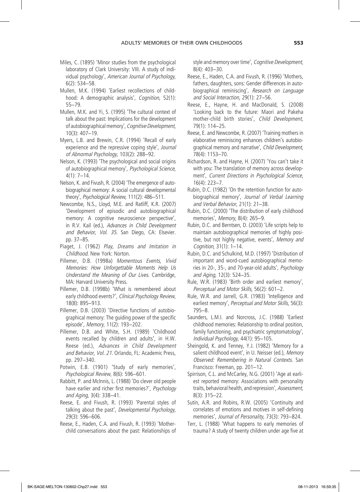- Miles, C. (1895) 'Minor studies from the psychological laboratory of Clark University: VIII. A study of individual psychology', *American Journal of Psychology*, 6(2): 534-58.
- Mullen, M.K. (1994) 'Earliest recollections of childhood: A demographic analysis', *Cognition*, 52(1): 55-79.
- Mullen, M.K. and Yi, S. (1995) 'The cultural context of talk about the past: Implications for the development of autobiographical memory', *Cognitive Development*, 10(3): 407-19.
- Myers, L.B. and Brewin, C.R. (1994) 'Recall of early experience and the repressive coping style', *Journal of Abnormal Psychology*, 103(2): 288-92.
- Nelson, K. (1993) 'The psychological and social origins of autobiographical memory', *Psychological Science*,  $4(1): 7-14.$
- Nelson, K. and Fivush, R. (2004) 'The emergence of autobiographical memory: A social cultural developmental theory', *Psychological Review*, 111(2): 486-511.
- Newcombe, N.S., Lloyd, M.E. and Ratliff, K.R. (2007) 'Development of episodic and autobiographical memory: A cognitive neuroscience perspective', in R.V. Kail (ed.), *Advances in Child Development and Behavior, Vol. 35*. San Diego, CA: Elsevier. pp. 37-85.
- Piaget, J. (1962) *Play, Dreams and Imitation in Childhood*. New York: Norton.
- Pillemer, D.B. (1998a) *Momentous Events, Vivid Memories: How Unforgettable Moments Help Us Understand the Meaning of Our Lives*. Cambridge, MA: Harvard University Press.
- Pillemer, D.B. (1998b) 'What is remembered about early childhood events?', *Clinical Psychology Review*, 18(8): 895-913.
- Pillemer, D.B. (2003) 'Directive functions of autobiographical memory: The guiding power of the specific episode', *Memory*, 11(2): 193-202.
- Pillemer, D.B. and White, S.H. (1989) 'Childhood events recalled by children and adults', in H.W. Reese (ed.), *Advances in Child Development and Behavior, Vol. 21*. Orlando, FL: Academic Press, pp. 297-340.
- Potwin, E.B. (1901) 'Study of early memories', *Psychological Review*, 8(6): 596-601.
- Rabbitt, P. and McInnis, L. (1988) 'Do clever old people have earlier and richer first memories?', *Psychology and Aging*, 3(4): 338-41.
- Reese, E. and Fivush, R. (1993) 'Parental styles of talking about the past', *Developmental Psychology*, 29(3): 596-606.
- Reese, E., Haden, C.A. and Fivush, R. (1993) 'Motherchild conversations about the past: Relationships of

style and memory over time', *Cognitive Development*, 8(4): 403-30.

- Reese, E., Haden, C.A. and Fivush, R. (1996) 'Mothers, fathers, daughters, sons: Gender differences in autobiographical reminiscing', *Research on Language and Social Interaction*, 29(1): 27-56.
- Reese, E., Hayne, H. and MacDonald, S. (2008) 'Looking back to the future: Maori and Pakeha mother-child birth stories', *Child Development*, 79(1): 114-25.
- Reese, E. and Newcombe, R. (2007) 'Training mothers in elaborative reminiscing enhances children's autobiographical memory and narrative', *Child Development*, 78(4): 1153-70.
- Richardson, R. and Hayne, H. (2007) 'You can't take it with you: The translation of memory across development', *Current Directions in Psychological Science*, 16(4): 223-7.
- Rubin, D.C. (1982) 'On the retention function for autobiographical memory', *Journal of Verbal Learning and Verbal Behavior*, 21(1): 21-38.
- Rubin, D.C. (2000) 'The distribution of early childhood memories', *Memory*, 8(4): 265-9.
- Rubin, D.C. and Berntsen, D. (2003) 'Life scripts help to maintain autobiographical memories of highly positive, but not highly negative, events', *Memory and Cognition*, 31(1): 1-14.
- Rubin, D.C. and Schulkind, M.D. (1997) 'Distribution of important and word-cued autobiographical memories in 20-, 35-, and 70-year-old adults', *Psychology and Aging*, 12(3): 524-35.
- Rule, W.R. (1983) 'Birth order and earliest memory', *Perceptual and Motor Skills*, 56(2): 601-2.
- Rule, W.R. and Jarrell, G.R. (1983) 'Intelligence and earliest memory', *Perceptual and Motor Skills*, 56(3): 795-8.
- Saunders, L.M.I. and Norcross, J.C. (1988) 'Earliest childhood memories: Relationship to ordinal position, family functioning, and psychiatric symptomatology', *Individual Psychology*, 44(1): 95-105.
- Sheingold, K. and Tenney, Y.J. (1982) 'Memory for a salient childhood event', in U. Neisser (ed.), *Memory Observed: Remembering in Natural Contexts.* San Francisco: Freeman, pp. 201-12.
- Spirrison, C.L. and McCarley, N.G. (2001) 'Age at earliest reported memory: Associations with personality traits, behavioral health, and repression', *Assessment*, 8(3): 315-22.
- Sutin, A.R. and Robins, R.W. (2005) 'Continuity and correlates of emotions and motives in self-defining memories', *Journal of Personality*, 73(3): 793-824.
- Terr, L. (1988) 'What happens to early memories of trauma? A study of twenty children under age five at